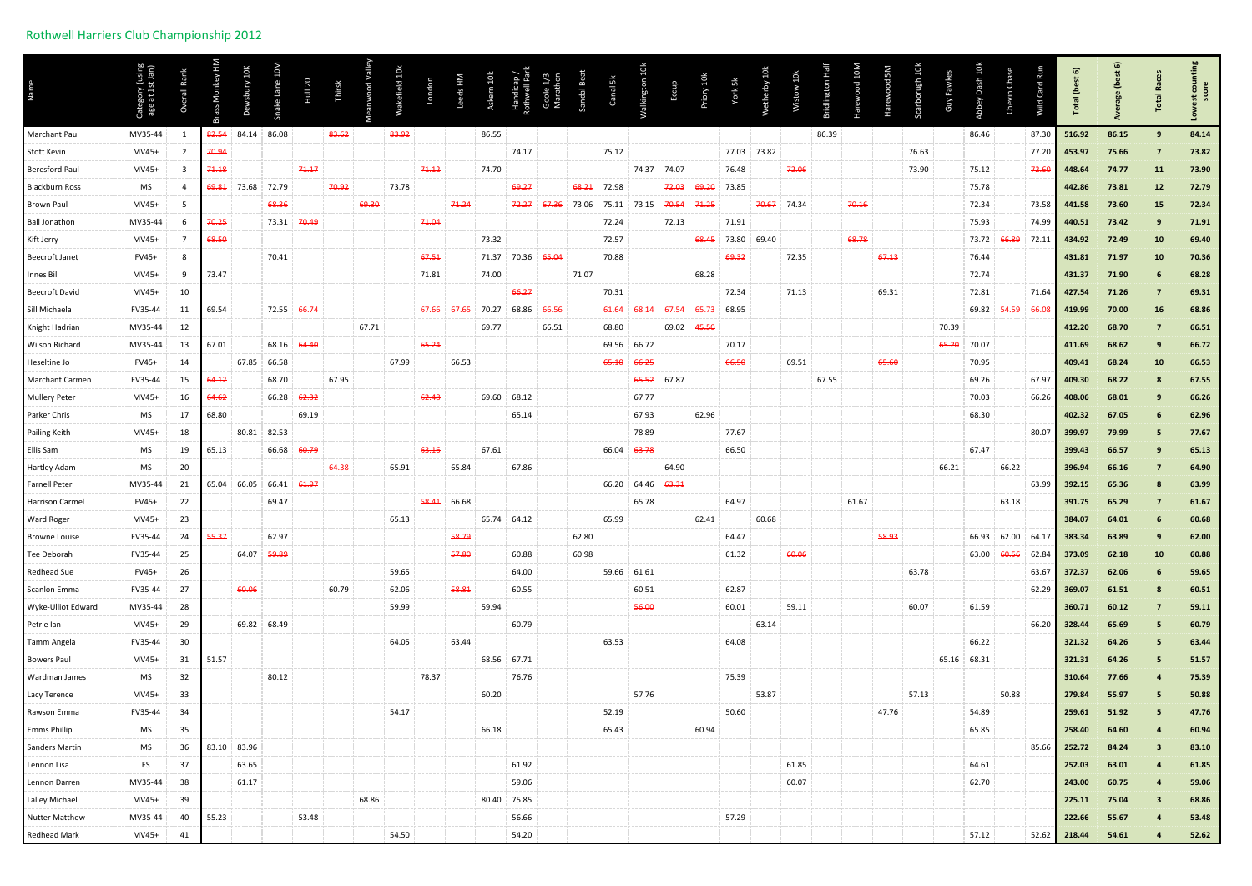## Rothwell Harriers Club Championship 2012

| Name                   | Category (using<br>age at 1st Jan) | Overall Rank            | Brass Monkey HM | Dewsbury 10K | Snake Lane 10M | <b>Hull 20</b> | Thirsk |       | Wakefield 10k | London | Leeds HM | Askern 10k  | Handicap /<br>Rothwell Park | Goole 1/3<br>Marathon | Sandal Beat | Canal 5k | alkington 10<br>W | Eccup       | Priory 10k  | York 5k           | Wetherby 10k | Wistow 10k  | Bridlington Half | ewood 10M | ewood 5M | Scarborugh 10k | Guy Fawkes  | Abbey Dash 10k | Chevin Chase | Run<br>Card | Total (best 6) | erage (best 6)<br>ā | Races<br><b>Total</b> | rest countir<br>score |
|------------------------|------------------------------------|-------------------------|-----------------|--------------|----------------|----------------|--------|-------|---------------|--------|----------|-------------|-----------------------------|-----------------------|-------------|----------|-------------------|-------------|-------------|-------------------|--------------|-------------|------------------|-----------|----------|----------------|-------------|----------------|--------------|-------------|----------------|---------------------|-----------------------|-----------------------|
| Marchant Paul          | MV35-44                            | $\mathbf{1}$            | 82.54           | 84.14 86.08  |                |                | 83.62  |       | 83.92         |        |          | 86.55       |                             |                       |             |          |                   |             |             |                   |              |             | 86.39            |           |          |                |             | 86.46          |              | 87.30       | 516.92         | 86.15               | 9                     | 84.14                 |
| <b>Stott Kevin</b>     | MV45+                              | $\overline{2}$          | 70.94           |              |                |                |        |       |               |        |          |             | 74.17                       |                       |             | 75.12    |                   |             |             |                   | 77.03 73.82  |             |                  |           |          | 76.63          |             |                |              | 77.20       | 453.97         | 75.66               | $\overline{7}$        | 73.82                 |
| Beresford Paul         | MV45+                              | $\overline{\mathbf{3}}$ | 71.18           |              |                | 71.17          |        |       |               | 71.12  |          | 74.70       |                             |                       |             |          | 74.37 74.07       |             |             | 76.48             |              | 72.06       |                  |           |          | 73.90          |             | 75.12          |              | 72.66       | 448.64         | 74.77               | 11                    | 73.90                 |
| <b>Blackburn Ross</b>  | MS                                 | 4                       | 69.81           | 73.68 72.79  |                |                | 70.92  |       | 73.78         |        |          |             | 69.27                       |                       | 68.21       | 72.98    |                   | 72.03       | 69.20 73.85 |                   |              |             |                  |           |          |                |             | 75.78          |              |             | 442.86         | 73.81               | 12                    | 72.79                 |
| <b>Brown Paul</b>      | MV45+                              | 5                       |                 |              | 68.36          |                |        | 69.30 |               |        | 71.24    |             | 72.27                       |                       | 67.36 73.06 |          | 75.11 73.15       | 70.54       | 71.25       |                   |              | 70.67 74.34 |                  | 70.16     |          |                |             | 72.34          |              | 73.58       | 441.58         | 73.60               | 15                    | 72.34                 |
| <b>Ball Jonathon</b>   | MV35-44                            | 6                       | 70.25           |              |                | 73.31 70.49    |        |       |               | 71.04  |          |             |                             |                       |             | 72.24    |                   | 72.13       |             | 71.91             |              |             |                  |           |          |                |             | 75.93          |              | 74.99       | 440.51         | 73.42               | 9                     | 71.91                 |
| Kift Jerry             | MV45+                              | 7                       | 68.50           |              |                |                |        |       |               |        |          | 73.32       |                             |                       |             | 72.57    |                   |             |             | 68.45 73.80 69.40 |              |             |                  | 68.78     |          |                |             | 73.72          | 66.89 72.11  |             | 434.92         | 72.49               | 10                    | 69.40                 |
| <b>Beecroft Janet</b>  | FV45+                              | 8                       |                 |              | 70.41          |                |        |       |               | 67.51  |          | 71.37       | 70.36                       | 65.04                 |             | 70.88    |                   |             |             | 69.32             |              | 72.35       |                  |           | 67.13    |                |             | 76.44          |              |             | 431.81         | 71.97               | 10                    | 70.36                 |
| Innes Bill             | MV45+                              | 9                       | 73.47           |              |                |                |        |       |               | 71.81  |          | 74.00       |                             |                       | 71.07       |          |                   |             | 68.28       |                   |              |             |                  |           |          |                |             | 72.74          |              |             | 431.37         | 71.90               | 6                     | 68.28                 |
| <b>Beecroft David</b>  | MV45+                              | 10                      |                 |              |                |                |        |       |               |        |          |             | 66.27                       |                       |             | 70.31    |                   |             |             | 72.34             |              | 71.13       |                  |           | 69.31    |                |             | 72.81          |              | 71.64       | 427.54         | 71.26               | 7                     | 69.31                 |
| Sill Michaela          | FV35-44                            | 11                      | 69.54           |              | 72.55 66.74    |                |        |       |               | 67.66  | 67.65    | 70.27       | 68.86                       | 66.56                 |             | 61.64    | 68.14             | 67.54       | 65.73       | 68.95             |              |             |                  |           |          |                |             |                | 69.82 54.59  | 66.0        | 419.99         | 70.00               | <b>16</b>             | 68.86                 |
| Knight Hadrian         | MV35-44                            | 12                      |                 |              |                |                |        | 67.71 |               |        |          | 69.77       |                             | 66.51                 |             | 68.80    |                   | 69.02 45.50 |             |                   |              |             |                  |           |          |                | 70.39       |                |              |             | 412.20         | 68.70               | 7                     | 66.51                 |
| <b>Wilson Richard</b>  | MV35-44                            | 13                      | 67.01           |              |                | 68.16 64.40    |        |       |               | 65.24  |          |             |                             |                       |             | 69.56    | 66.72             |             |             | 70.17             |              |             |                  |           |          |                |             | 65.20 70.07    |              |             | 411.69         | 68.62               | 9                     | 66.72                 |
| Heseltine Jo           | FV45+                              | 14                      |                 |              | 67.85 66.58    |                |        |       | 67.99         |        | 66.53    |             |                             |                       |             | 65.10    | 66.25             |             |             | 66.50             |              | 69.51       |                  |           | 65.60    |                |             | 70.95          |              |             | 409.41         | 68.24               | 10                    | 66.53                 |
| <b>Marchant Carmen</b> | FV35-44                            | 15                      | 64.12           |              | 68.70          |                | 67.95  |       |               |        |          |             |                             |                       |             |          | 65.52             | 67.87       |             |                   |              |             | 67.55            |           |          |                |             | 69.26          |              | 67.97       | 409.30         | 68.22               | 8                     | 67.55                 |
| <b>Mullery Peter</b>   | MV45+                              | 16                      | 54.62           |              |                | 66.28 62.32    |        |       |               | 62.48  |          | 69.60       | 68.12                       |                       |             |          | 67.77             |             |             |                   |              |             |                  |           |          |                |             | 70.03          |              | 66.26       | 408.06         | 68.01               | 9                     | 66.26                 |
| Parker Chris           | MS                                 | 17                      | 68.80           |              |                | 69.19          |        |       |               |        |          |             | 65.14                       |                       |             |          | 67.93             |             | 62.96       |                   |              |             |                  |           |          |                |             | 68.30          |              |             | 402.32         | 67.05               | 6                     | 62.96                 |
| Pailing Keith          | MV45+                              | 18                      |                 |              | 80.81 82.53    |                |        |       |               |        |          |             |                             |                       |             |          | 78.89             |             |             | 77.67             |              |             |                  |           |          |                |             |                |              | 80.07       | 399.97         | 79.99               | 5                     | 77.67                 |
| Ellis Sam              | MS                                 | 19                      | 65.13           |              | 66.68          | 60.79          |        |       |               | 63.16  |          | 67.61       |                             |                       |             |          | 66.04 63.78       |             |             | 66.50             |              |             |                  |           |          |                |             | 67.47          |              |             | 399.43         | 66.57               | g                     | 65.13                 |
| Hartley Adam           | MS                                 | 20                      |                 |              |                |                | 64.38  |       | 65.91         |        | 65.84    |             | 67.86                       |                       |             |          |                   | 64.90       |             |                   |              |             |                  |           |          |                | 66.21       |                | 66.22        |             | 396.94         | 66.16               | 7                     | 64.90                 |
| <b>Farnell Peter</b>   | MV35-44                            | 21                      | 65.04           | 66.05        | 66.41          | 61.97          |        |       |               |        |          |             |                             |                       |             | 66.20    | 64.46             | 63.31       |             |                   |              |             |                  |           |          |                |             |                |              | 63.99       | 392.15         | 65.36               | Я                     | 63.99                 |
| Harrison Carmel        | FV45+                              | 22                      |                 |              | 69.47          |                |        |       |               | 58.41  | 66.68    |             |                             |                       |             |          | 65.78             |             |             | 64.97             |              |             |                  | 61.67     |          |                |             |                | 63.18        |             | 391.75         | 65.29               | 7                     | 61.67                 |
| Ward Roger             | MV45+                              | 23                      |                 |              |                |                |        |       | 65.13         |        |          | 65.74 64.12 |                             |                       |             | 65.99    |                   |             | 62.41       |                   | 60.68        |             |                  |           |          |                |             |                |              |             | 384.07         | 64.01               | 6                     | 60.68                 |
| <b>Browne Louise</b>   | FV35-44                            | 24                      | 55.37           |              | 62.97          |                |        |       |               |        | 58.79    |             |                             |                       | 62.80       |          |                   |             |             | 64.47             |              |             |                  |           | 58.93    |                |             | 66.93          | 62.00        | 64.17       | 383.34         | 63.89               | 9                     | 62.00                 |
| Tee Deborah            | FV35-44                            | 25                      |                 | 64.07        | 59.89          |                |        |       |               |        | 57.80    |             | 60.88                       |                       | 60.98       |          |                   |             |             | 61.32             |              | 60.06       |                  |           |          |                |             | 63.00          | 60.56        | 62.84       | 373.09         | 62.18               | 10                    | 60.88                 |
| Redhead Sue            | FV45+                              | 26                      |                 |              |                |                |        |       | 59.65         |        |          |             | 64.00                       |                       |             |          | 59.66 61.61       |             |             |                   |              |             |                  |           |          | 63.78          |             |                |              | 63.67       | 372.37         | 62.06               | 6                     | 59.65                 |
| Scanlon Emma           | FV35-44                            | 27                      |                 | 60.06        |                |                | 60.79  |       | 62.06         |        | 58.81    |             | 60.55                       |                       |             |          | 60.51             |             |             | 62.87             |              |             |                  |           |          |                |             |                |              | 62.29       | 369.07         | 61.51               | 8                     | 60.51                 |
| Wyke-Ulliot Edward     | MV35-44                            | 28                      |                 |              |                |                |        |       | 59.99         |        |          | 59.94       |                             |                       |             |          | 56.00             |             |             | 60.01             |              | 59.11       |                  |           |          | 60.07          |             | 61.59          |              |             | 360.71         | 60.12               | 7                     | 59.11                 |
| Petrie lan             | MV45+                              | 29                      |                 |              | 69.82 68.49    |                |        |       |               |        |          |             | 60.79                       |                       |             |          |                   |             |             |                   | 63.14        |             |                  |           |          |                |             |                |              | 66.20       | 328.44         | 65.69               | 5                     | 60.79                 |
| Tamm Angela            | FV35-44                            | 30                      |                 |              |                |                |        |       | 64.05         |        | 63.44    |             |                             |                       |             | 63.53    |                   |             |             | 64.08             |              |             |                  |           |          |                |             | 66.22          |              |             | 321.32         | 64.26               | 5                     | 63.44                 |
| Bowers Paul            | MV45+                              | 31                      | 51.57           |              |                |                |        |       |               |        |          | 68.56 67.71 |                             |                       |             |          |                   |             |             |                   |              |             |                  |           |          |                | 65.16 68.31 |                |              |             | 321.31         | 64.26               | 5                     | 51.57                 |
| Wardman James          | MS                                 | 32                      |                 |              | 80.12          |                |        |       |               | 78.37  |          |             | 76.76                       |                       |             |          |                   |             |             | 75.39             |              |             |                  |           |          |                |             |                |              |             | 310.64         | 77.66               | $\overline{4}$        | 75.39                 |
| Lacy Terence           | MV45+                              | 33                      |                 |              |                |                |        |       |               |        |          | 60.20       |                             |                       |             |          | 57.76             |             |             |                   | 53.87        |             |                  |           |          | 57.13          |             |                | 50.88        |             | 279.84         | 55.97               |                       | 50.88                 |
| Rawson Emma            | FV35-44                            | 34                      |                 |              |                |                |        |       | 54.17         |        |          |             |                             |                       |             | 52.19    |                   |             |             | 50.60             |              |             |                  |           | 47.76    |                |             | 54.89          |              |             | 259.61         | 51.92               | 5                     | 47.76                 |
| <b>Emms Phillip</b>    | MS                                 | 35                      |                 |              |                |                |        |       |               |        |          | 66.18       |                             |                       |             | 65.43    |                   |             | 60.94       |                   |              |             |                  |           |          |                |             | 65.85          |              |             | 258.40         | 64.60               | $\boldsymbol{a}$      | 60.94                 |
| <b>Sanders Martin</b>  | MS                                 | 36                      |                 | 83.10 83.96  |                |                |        |       |               |        |          |             |                             |                       |             |          |                   |             |             |                   |              |             |                  |           |          |                |             |                |              | 85.66       | 252.72         | 84.24               | -3                    | 83.10                 |
| Lennon Lisa            | FS                                 | 37                      |                 | 63.65        |                |                |        |       |               |        |          |             | 61.92                       |                       |             |          |                   |             |             |                   |              | 61.85       |                  |           |          |                |             | 64.61          |              |             | 252.03         | 63.01               | $\overline{a}$        | 61.85                 |
| Lennon Darren          | MV35-44                            | 38                      |                 | 61.17        |                |                |        |       |               |        |          |             | 59.06                       |                       |             |          |                   |             |             |                   |              | 60.07       |                  |           |          |                |             | 62.70          |              |             | 243.00         | 60.75               | $\overline{a}$        | 59.06                 |
| Lalley Michael         | MV45+                              | 39                      |                 |              |                |                |        | 68.86 |               |        |          | 80.40 75.85 |                             |                       |             |          |                   |             |             |                   |              |             |                  |           |          |                |             |                |              |             | 225.11         | 75.04               | з                     | 68.86                 |
| <b>Nutter Matthew</b>  | MV35-44                            | 40                      | 55.23           |              |                | 53.48          |        |       |               |        |          |             | 56.66                       |                       |             |          |                   |             |             | 57.29             |              |             |                  |           |          |                |             |                |              |             | 222.66         | 55.67               | 4                     | 53.48                 |
| <b>Redhead Mark</b>    | MV45+                              | 41                      |                 |              |                |                |        |       | 54.50         |        |          |             | 54.20                       |                       |             |          |                   |             |             |                   |              |             |                  |           |          |                |             | 57.12          |              | 52.62       | 218.44         | 54.61               | $\overline{a}$        | 52.62                 |